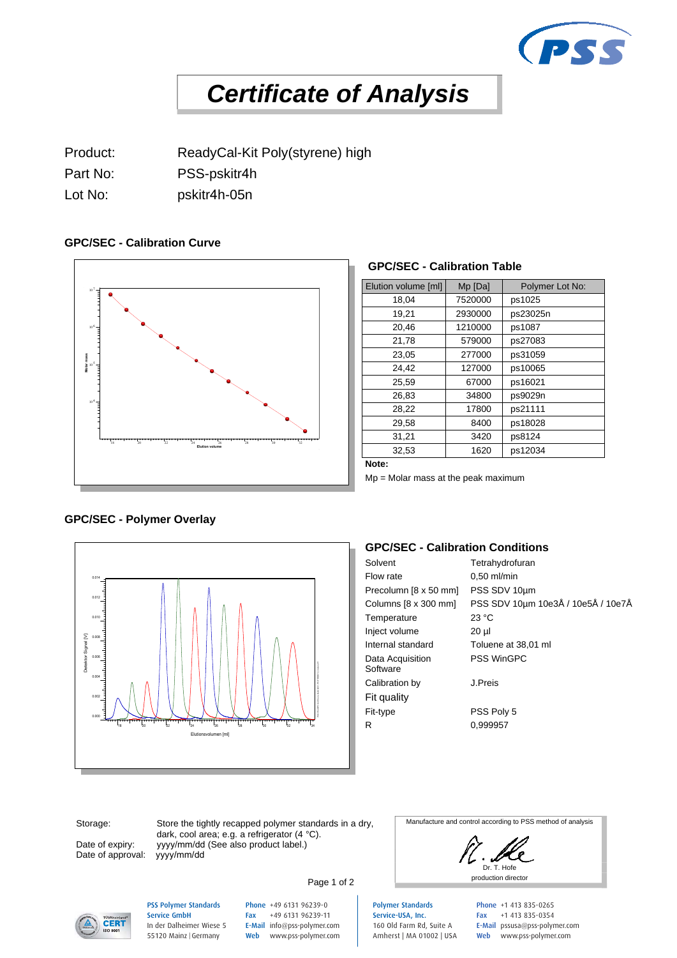

# *Certificate of Analysis*

Product: ReadyCal-Kit Poly(styrene) high

Part No: PSS-pskitr4h

Lot No: pskitr4h-05n

# **GPC/SEC - Calibration Curve**

**GPC/SEC - Polymer Overlay**



### **GPC/SEC - Calibration Table**

| Elution volume [ml] | Mp [Da] | Polymer Lot No: |
|---------------------|---------|-----------------|
| 18,04               | 7520000 | ps1025          |
| 19,21               | 2930000 | ps23025n        |
| 20,46               | 1210000 | ps1087          |
| 21,78               | 579000  | ps27083         |
| 23,05               | 277000  | ps31059         |
| 24,42               | 127000  | ps10065         |
| 25.59               | 67000   | ps16021         |
| 26,83               | 34800   | ps9029n         |
| 28,22               | 17800   | ps21111         |
| 29,58               | 8400    | ps18028         |
| 31,21               | 3420    | ps8124          |
| 32,53               | 1620    | ps12034         |

**Note:**

Mp = Molar mass at the peak maximum

# 0.014 0.012 0.010 Σ Detektor Signal [V] 0.008 0.006 PSS WinGPC UniChrom, Build 8251, PC-PROD012, Instanz #1 0.004 0.002 0.000 18 20 22 24 26 28 30 32 34 Elutionsvolumen [ml]

# **GPC/SEC - Calibration Conditions**

| Solvent                      | Tetrahydrofuran                    |
|------------------------------|------------------------------------|
| Flow rate                    | $0.50$ ml/min                      |
| Precolumn [8 x 50 mm]        | PSS SDV 10um                       |
| Columns $[8 \times 300$ mm   | PSS SDV 10µm 10e3Å / 10e5Å / 10e7Å |
| Temperature                  | 23 °C                              |
| Inject volume                | 20 µl                              |
| Internal standard            | Toluene at 38,01 ml                |
| Data Acquisition<br>Software | <b>PSS WinGPC</b>                  |
| Calibration by               | J.Preis                            |
| Fit quality                  |                                    |
| Fit-type                     | PSS Poly 5                         |
| R                            | 0.999957                           |
|                              |                                    |

Storage:

Date of expiry: Date of approval:

Store the tightly recapped polymer standards in a dry, dark, cool area; e.g. a refrigerator (4 °C). yyyy/mm/dd (See also product label.)<br>yyyy/mm/dd

Manufacture and control according to PSS method of analysis

Dr. T. Hofe Page 1 of 2



#### PSS Polymer Standards Service GmbH In der Dalheimer Wiese 5 55120 Mainz |Germany

Phone +49 6131 96239-0 Fax +49 6131 96239-11 E-Mail info@pss-polymer.com Web www.pss-polymer.com

Polymer Standards Service-USA, Inc. 160 Old Farm Rd, Suite A Amherst | MA 01002 | USA

Phone +1 413 835-0265 Fax +1 413 835-0354 E-Mail pssusa@pss-polymer.com Web www.pss-polymer.com